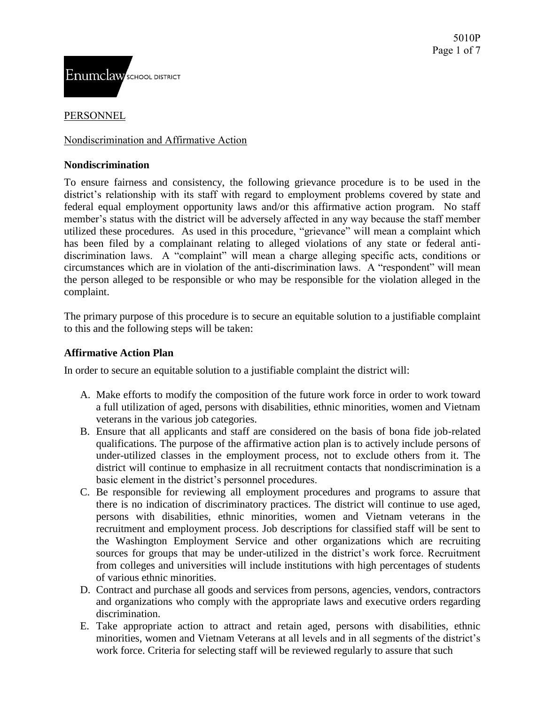

#### PERSONNEL

#### Nondiscrimination and Affirmative Action

#### **Nondiscrimination**

To ensure fairness and consistency, the following grievance procedure is to be used in the district's relationship with its staff with regard to employment problems covered by state and federal equal employment opportunity laws and/or this affirmative action program. No staff member's status with the district will be adversely affected in any way because the staff member utilized these procedures. As used in this procedure, "grievance" will mean a complaint which has been filed by a complainant relating to alleged violations of any state or federal antidiscrimination laws. A "complaint" will mean a charge alleging specific acts, conditions or circumstances which are in violation of the anti-discrimination laws. A "respondent" will mean the person alleged to be responsible or who may be responsible for the violation alleged in the complaint.

The primary purpose of this procedure is to secure an equitable solution to a justifiable complaint to this and the following steps will be taken:

#### **Affirmative Action Plan**

In order to secure an equitable solution to a justifiable complaint the district will:

- A. Make efforts to modify the composition of the future work force in order to work toward a full utilization of aged, persons with disabilities, ethnic minorities, women and Vietnam veterans in the various job categories.
- B. Ensure that all applicants and staff are considered on the basis of bona fide job-related qualifications. The purpose of the affirmative action plan is to actively include persons of under-utilized classes in the employment process, not to exclude others from it. The district will continue to emphasize in all recruitment contacts that nondiscrimination is a basic element in the district's personnel procedures.
- C. Be responsible for reviewing all employment procedures and programs to assure that there is no indication of discriminatory practices. The district will continue to use aged, persons with disabilities, ethnic minorities, women and Vietnam veterans in the recruitment and employment process. Job descriptions for classified staff will be sent to the Washington Employment Service and other organizations which are recruiting sources for groups that may be under-utilized in the district's work force. Recruitment from colleges and universities will include institutions with high percentages of students of various ethnic minorities.
- D. Contract and purchase all goods and services from persons, agencies, vendors, contractors and organizations who comply with the appropriate laws and executive orders regarding discrimination.
- E. Take appropriate action to attract and retain aged, persons with disabilities, ethnic minorities, women and Vietnam Veterans at all levels and in all segments of the district's work force. Criteria for selecting staff will be reviewed regularly to assure that such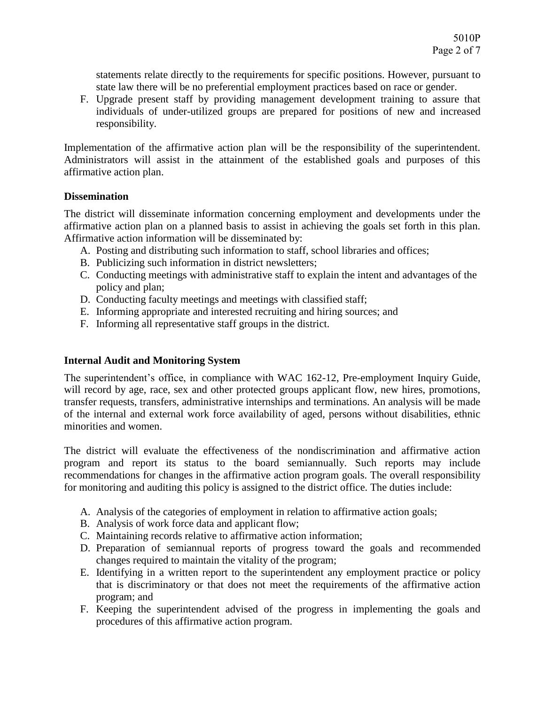statements relate directly to the requirements for specific positions. However, pursuant to state law there will be no preferential employment practices based on race or gender.

F. Upgrade present staff by providing management development training to assure that individuals of under-utilized groups are prepared for positions of new and increased responsibility.

Implementation of the affirmative action plan will be the responsibility of the superintendent. Administrators will assist in the attainment of the established goals and purposes of this affirmative action plan.

### **Dissemination**

The district will disseminate information concerning employment and developments under the affirmative action plan on a planned basis to assist in achieving the goals set forth in this plan. Affirmative action information will be disseminated by:

- A. Posting and distributing such information to staff, school libraries and offices;
- B. Publicizing such information in district newsletters;
- C. Conducting meetings with administrative staff to explain the intent and advantages of the policy and plan;
- D. Conducting faculty meetings and meetings with classified staff;
- E. Informing appropriate and interested recruiting and hiring sources; and
- F. Informing all representative staff groups in the district.

# **Internal Audit and Monitoring System**

The superintendent's office, in compliance with WAC 162-12, Pre-employment Inquiry Guide, will record by age, race, sex and other protected groups applicant flow, new hires, promotions, transfer requests, transfers, administrative internships and terminations. An analysis will be made of the internal and external work force availability of aged, persons without disabilities, ethnic minorities and women.

The district will evaluate the effectiveness of the nondiscrimination and affirmative action program and report its status to the board semiannually. Such reports may include recommendations for changes in the affirmative action program goals. The overall responsibility for monitoring and auditing this policy is assigned to the district office. The duties include:

- A. Analysis of the categories of employment in relation to affirmative action goals;
- B. Analysis of work force data and applicant flow;
- C. Maintaining records relative to affirmative action information;
- D. Preparation of semiannual reports of progress toward the goals and recommended changes required to maintain the vitality of the program;
- E. Identifying in a written report to the superintendent any employment practice or policy that is discriminatory or that does not meet the requirements of the affirmative action program; and
- F. Keeping the superintendent advised of the progress in implementing the goals and procedures of this affirmative action program.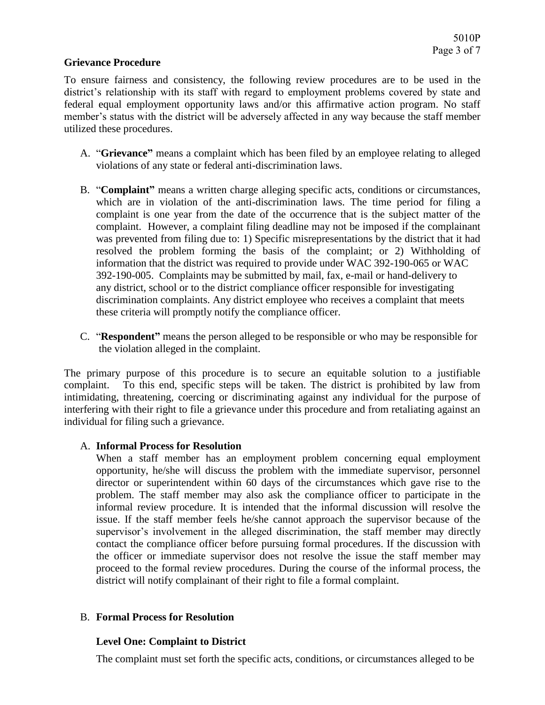#### **Grievance Procedure**

To ensure fairness and consistency, the following review procedures are to be used in the district's relationship with its staff with regard to employment problems covered by state and federal equal employment opportunity laws and/or this affirmative action program. No staff member's status with the district will be adversely affected in any way because the staff member utilized these procedures.

- A. "**Grievance"** means a complaint which has been filed by an employee relating to alleged violations of any state or federal anti-discrimination laws.
- B. "**Complaint"** means a written charge alleging specific acts, conditions or circumstances, which are in violation of the anti-discrimination laws. The time period for filing a complaint is one year from the date of the occurrence that is the subject matter of the complaint. However, a complaint filing deadline may not be imposed if the complainant was prevented from filing due to: 1) Specific misrepresentations by the district that it had resolved the problem forming the basis of the complaint; or 2) Withholding of information that the district was required to provide under WAC 392-190-065 or WAC 392-190-005. Complaints may be submitted by mail, fax, e-mail or hand-delivery to any district, school or to the district compliance officer responsible for investigating discrimination complaints. Any district employee who receives a complaint that meets these criteria will promptly notify the compliance officer.
- C. "**Respondent"** means the person alleged to be responsible or who may be responsible for the violation alleged in the complaint.

The primary purpose of this procedure is to secure an equitable solution to a justifiable complaint. To this end, specific steps will be taken. The district is prohibited by law from intimidating, threatening, coercing or discriminating against any individual for the purpose of interfering with their right to file a grievance under this procedure and from retaliating against an individual for filing such a grievance.

#### A. **Informal Process for Resolution**

When a staff member has an employment problem concerning equal employment opportunity, he/she will discuss the problem with the immediate supervisor, personnel director or superintendent within 60 days of the circumstances which gave rise to the problem. The staff member may also ask the compliance officer to participate in the informal review procedure. It is intended that the informal discussion will resolve the issue. If the staff member feels he/she cannot approach the supervisor because of the supervisor's involvement in the alleged discrimination, the staff member may directly contact the compliance officer before pursuing formal procedures. If the discussion with the officer or immediate supervisor does not resolve the issue the staff member may proceed to the formal review procedures. During the course of the informal process, the district will notify complainant of their right to file a formal complaint.

#### B. **Formal Process for Resolution**

# **Level One: Complaint to District**

The complaint must set forth the specific acts, conditions, or circumstances alleged to be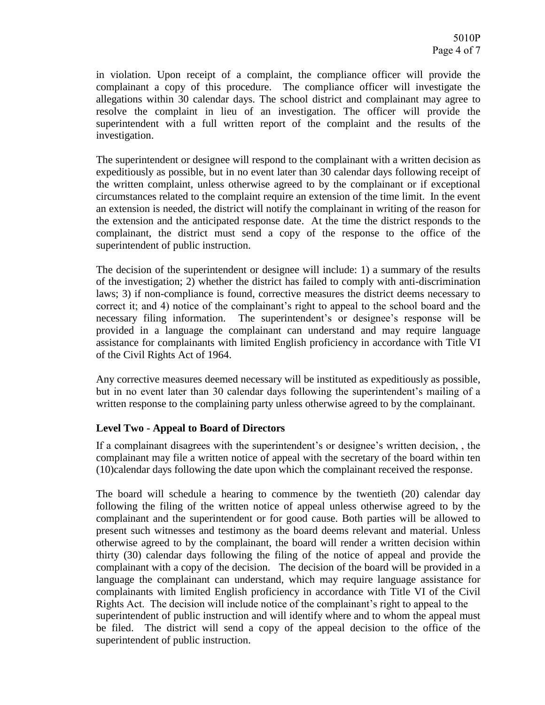in violation. Upon receipt of a complaint, the compliance officer will provide the complainant a copy of this procedure. The compliance officer will investigate the allegations within 30 calendar days. The school district and complainant may agree to resolve the complaint in lieu of an investigation. The officer will provide the superintendent with a full written report of the complaint and the results of the investigation.

The superintendent or designee will respond to the complainant with a written decision as expeditiously as possible, but in no event later than 30 calendar days following receipt of the written complaint, unless otherwise agreed to by the complainant or if exceptional circumstances related to the complaint require an extension of the time limit. In the event an extension is needed, the district will notify the complainant in writing of the reason for the extension and the anticipated response date. At the time the district responds to the complainant, the district must send a copy of the response to the office of the superintendent of public instruction.

The decision of the superintendent or designee will include: 1) a summary of the results of the investigation; 2) whether the district has failed to comply with anti-discrimination laws; 3) if non-compliance is found, corrective measures the district deems necessary to correct it; and 4) notice of the complainant's right to appeal to the school board and the necessary filing information. The superintendent's or designee's response will be provided in a language the complainant can understand and may require language assistance for complainants with limited English proficiency in accordance with Title VI of the Civil Rights Act of 1964.

Any corrective measures deemed necessary will be instituted as expeditiously as possible, but in no event later than 30 calendar days following the superintendent's mailing of a written response to the complaining party unless otherwise agreed to by the complainant.

# **Level Two - Appeal to Board of Directors**

If a complainant disagrees with the superintendent's or designee's written decision, , the complainant may file a written notice of appeal with the secretary of the board within ten (10)calendar days following the date upon which the complainant received the response.

The board will schedule a hearing to commence by the twentieth (20) calendar day following the filing of the written notice of appeal unless otherwise agreed to by the complainant and the superintendent or for good cause. Both parties will be allowed to present such witnesses and testimony as the board deems relevant and material. Unless otherwise agreed to by the complainant, the board will render a written decision within thirty (30) calendar days following the filing of the notice of appeal and provide the complainant with a copy of the decision. The decision of the board will be provided in a language the complainant can understand, which may require language assistance for complainants with limited English proficiency in accordance with Title VI of the Civil Rights Act. The decision will include notice of the complainant's right to appeal to the superintendent of public instruction and will identify where and to whom the appeal must be filed. The district will send a copy of the appeal decision to the office of the superintendent of public instruction.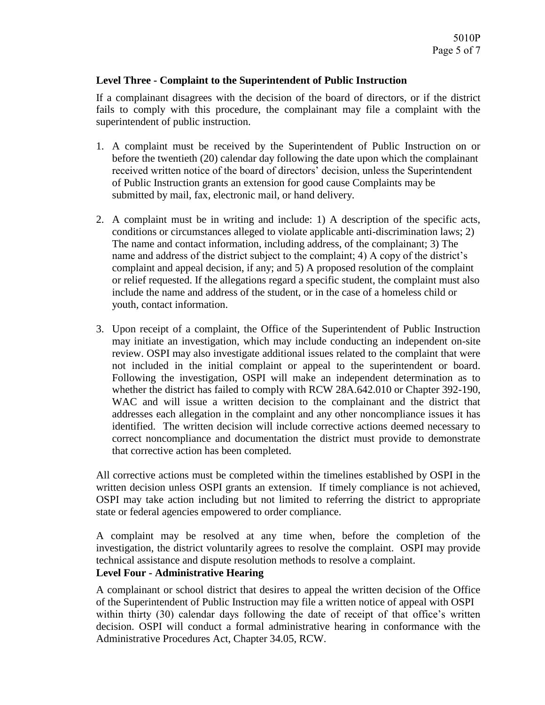### **Level Three - Complaint to the Superintendent of Public Instruction**

If a complainant disagrees with the decision of the board of directors, or if the district fails to comply with this procedure, the complainant may file a complaint with the superintendent of public instruction.

- 1. A complaint must be received by the Superintendent of Public Instruction on or before the twentieth (20) calendar day following the date upon which the complainant received written notice of the board of directors' decision, unless the Superintendent of Public Instruction grants an extension for good cause Complaints may be submitted by mail, fax, electronic mail, or hand delivery.
- 2. A complaint must be in writing and include: 1) A description of the specific acts, conditions or circumstances alleged to violate applicable anti-discrimination laws; 2) The name and contact information, including address, of the complainant; 3) The name and address of the district subject to the complaint; 4) A copy of the district's complaint and appeal decision, if any; and 5) A proposed resolution of the complaint or relief requested. If the allegations regard a specific student, the complaint must also include the name and address of the student, or in the case of a homeless child or youth, contact information.
- 3. Upon receipt of a complaint, the Office of the Superintendent of Public Instruction may initiate an investigation, which may include conducting an independent on-site review. OSPI may also investigate additional issues related to the complaint that were not included in the initial complaint or appeal to the superintendent or board. Following the investigation, OSPI will make an independent determination as to whether the district has failed to comply with RCW 28A.642.010 or Chapter 392-190, WAC and will issue a written decision to the complainant and the district that addresses each allegation in the complaint and any other noncompliance issues it has identified. The written decision will include corrective actions deemed necessary to correct noncompliance and documentation the district must provide to demonstrate that corrective action has been completed.

All corrective actions must be completed within the timelines established by OSPI in the written decision unless OSPI grants an extension. If timely compliance is not achieved, OSPI may take action including but not limited to referring the district to appropriate state or federal agencies empowered to order compliance.

A complaint may be resolved at any time when, before the completion of the investigation, the district voluntarily agrees to resolve the complaint. OSPI may provide technical assistance and dispute resolution methods to resolve a complaint.

# **Level Four - Administrative Hearing**

A complainant or school district that desires to appeal the written decision of the Office of the Superintendent of Public Instruction may file a written notice of appeal with OSPI within thirty (30) calendar days following the date of receipt of that office's written decision. OSPI will conduct a formal administrative hearing in conformance with the Administrative Procedures Act, Chapter 34.05, RCW.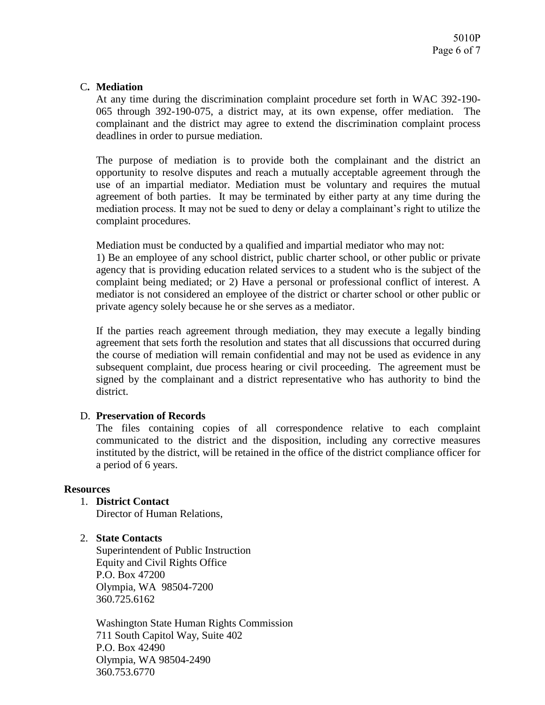### C**. Mediation**

At any time during the discrimination complaint procedure set forth in WAC 392-190- 065 through 392-190-075, a district may, at its own expense, offer mediation. The complainant and the district may agree to extend the discrimination complaint process deadlines in order to pursue mediation.

The purpose of mediation is to provide both the complainant and the district an opportunity to resolve disputes and reach a mutually acceptable agreement through the use of an impartial mediator. Mediation must be voluntary and requires the mutual agreement of both parties. It may be terminated by either party at any time during the mediation process. It may not be sued to deny or delay a complainant's right to utilize the complaint procedures.

Mediation must be conducted by a qualified and impartial mediator who may not:

1) Be an employee of any school district, public charter school, or other public or private agency that is providing education related services to a student who is the subject of the complaint being mediated; or 2) Have a personal or professional conflict of interest. A mediator is not considered an employee of the district or charter school or other public or private agency solely because he or she serves as a mediator.

If the parties reach agreement through mediation, they may execute a legally binding agreement that sets forth the resolution and states that all discussions that occurred during the course of mediation will remain confidential and may not be used as evidence in any subsequent complaint, due process hearing or civil proceeding. The agreement must be signed by the complainant and a district representative who has authority to bind the district.

#### D. **Preservation of Records**

The files containing copies of all correspondence relative to each complaint communicated to the district and the disposition, including any corrective measures instituted by the district, will be retained in the office of the district compliance officer for a period of 6 years.

#### **Resources**

- 1. **District Contact** Director of Human Relations,
- 2. **State Contacts**

Superintendent of Public Instruction Equity and Civil Rights Office P.O. Box 47200 Olympia, WA 98504-7200 360.725.6162

Washington State Human Rights Commission 711 South Capitol Way, Suite 402 P.O. Box 42490 Olympia, WA 98504-2490 360.753.6770